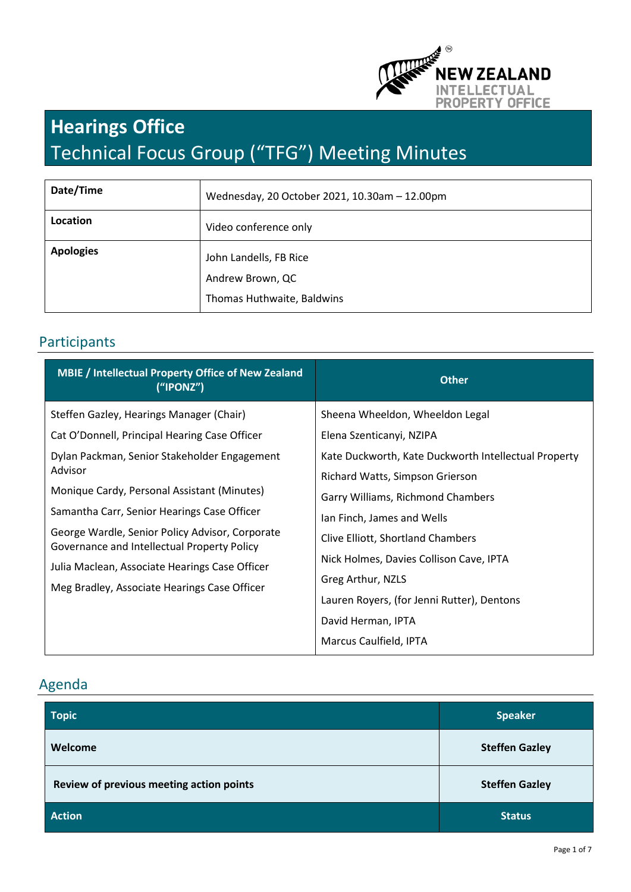

# **Hearings Office**  Technical Focus Group ("TFG") Meeting Minutes

| Date/Time        | Wednesday, 20 October 2021, 10.30am - 12.00pm |
|------------------|-----------------------------------------------|
| Location         | Video conference only                         |
| <b>Apologies</b> | John Landells, FB Rice<br>Andrew Brown, QC    |
|                  | Thomas Huthwaite, Baldwins                    |

## Participants

| <b>MBIE / Intellectual Property Office of New Zealand</b><br>('IPONZ")                         | <b>Other</b>                                                                                         |  |
|------------------------------------------------------------------------------------------------|------------------------------------------------------------------------------------------------------|--|
| Steffen Gazley, Hearings Manager (Chair)                                                       | Sheena Wheeldon, Wheeldon Legal                                                                      |  |
| Cat O'Donnell, Principal Hearing Case Officer                                                  | Elena Szenticanyi, NZIPA                                                                             |  |
| Dylan Packman, Senior Stakeholder Engagement                                                   | Kate Duckworth, Kate Duckworth Intellectual Property                                                 |  |
| Advisor                                                                                        | Richard Watts, Simpson Grierson                                                                      |  |
| Monique Cardy, Personal Assistant (Minutes)                                                    | Garry Williams, Richmond Chambers<br>Ian Finch, James and Wells<br>Clive Elliott, Shortland Chambers |  |
| Samantha Carr, Senior Hearings Case Officer                                                    |                                                                                                      |  |
| George Wardle, Senior Policy Advisor, Corporate<br>Governance and Intellectual Property Policy |                                                                                                      |  |
| Julia Maclean, Associate Hearings Case Officer                                                 | Nick Holmes, Davies Collison Cave, IPTA                                                              |  |
| Meg Bradley, Associate Hearings Case Officer                                                   | Greg Arthur, NZLS                                                                                    |  |
|                                                                                                | Lauren Royers, (for Jenni Rutter), Dentons                                                           |  |
|                                                                                                | David Herman, IPTA                                                                                   |  |
|                                                                                                | Marcus Caulfield, IPTA                                                                               |  |

# Agenda

| <b>Topic</b>                             | <b>Speaker</b>        |
|------------------------------------------|-----------------------|
| Welcome                                  | <b>Steffen Gazley</b> |
| Review of previous meeting action points | <b>Steffen Gazley</b> |
| <b>Action</b>                            | <b>Status</b>         |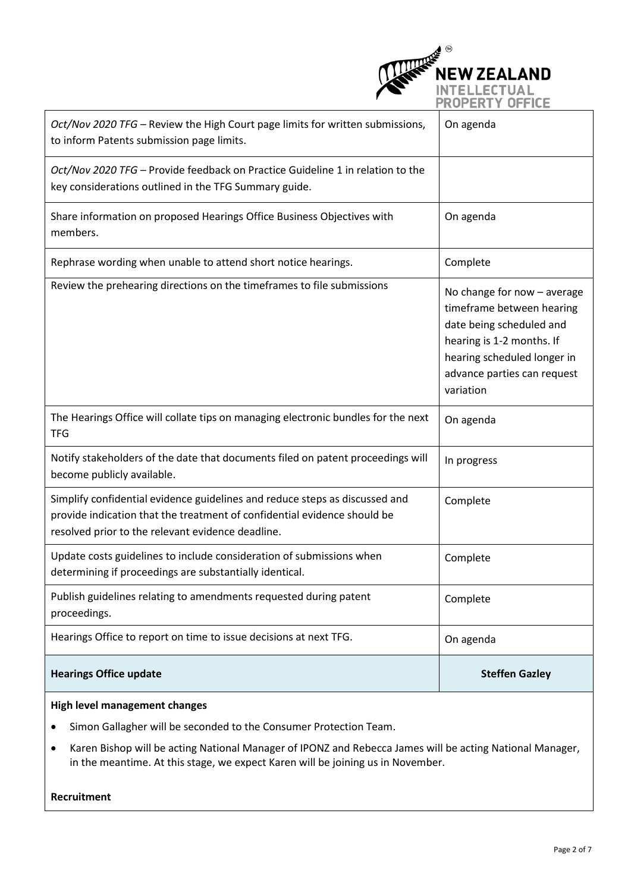

| Oct/Nov 2020 TFG - Review the High Court page limits for written submissions,<br>to inform Patents submission page limits.                                                                                   | On agenda                                                                                                                                                                                    |  |
|--------------------------------------------------------------------------------------------------------------------------------------------------------------------------------------------------------------|----------------------------------------------------------------------------------------------------------------------------------------------------------------------------------------------|--|
| Oct/Nov 2020 TFG - Provide feedback on Practice Guideline 1 in relation to the<br>key considerations outlined in the TFG Summary guide.                                                                      |                                                                                                                                                                                              |  |
| Share information on proposed Hearings Office Business Objectives with<br>members.                                                                                                                           | On agenda                                                                                                                                                                                    |  |
| Rephrase wording when unable to attend short notice hearings.                                                                                                                                                | Complete                                                                                                                                                                                     |  |
| Review the prehearing directions on the timeframes to file submissions                                                                                                                                       | No change for now - average<br>timeframe between hearing<br>date being scheduled and<br>hearing is 1-2 months. If<br>hearing scheduled longer in<br>advance parties can request<br>variation |  |
| The Hearings Office will collate tips on managing electronic bundles for the next<br><b>TFG</b>                                                                                                              | On agenda                                                                                                                                                                                    |  |
| Notify stakeholders of the date that documents filed on patent proceedings will<br>become publicly available.                                                                                                | In progress                                                                                                                                                                                  |  |
| Simplify confidential evidence guidelines and reduce steps as discussed and<br>provide indication that the treatment of confidential evidence should be<br>resolved prior to the relevant evidence deadline. | Complete                                                                                                                                                                                     |  |
| Update costs guidelines to include consideration of submissions when<br>determining if proceedings are substantially identical.                                                                              | Complete                                                                                                                                                                                     |  |
| Publish guidelines relating to amendments requested during patent<br>proceedings.                                                                                                                            | Complete                                                                                                                                                                                     |  |
| Hearings Office to report on time to issue decisions at next TFG.                                                                                                                                            | On agenda                                                                                                                                                                                    |  |
| <b>Hearings Office update</b>                                                                                                                                                                                | <b>Steffen Gazley</b>                                                                                                                                                                        |  |
| <b>High level management changes</b>                                                                                                                                                                         |                                                                                                                                                                                              |  |
| Simon Gallagher will be seconded to the Consumer Protection Team.                                                                                                                                            |                                                                                                                                                                                              |  |

• Karen Bishop will be acting National Manager of IPONZ and Rebecca James will be acting National Manager, in the meantime. At this stage, we expect Karen will be joining us in November.

**Recruitment**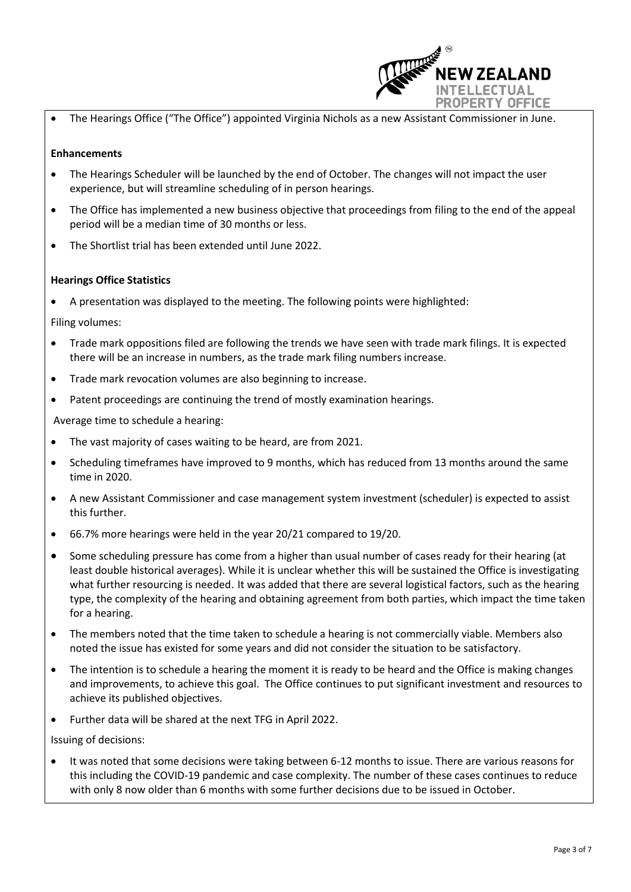

• The Hearings Office ("The Office") appointed Virginia Nichols as a new Assistant Commissioner in June.

#### **Enhancements**

- The Hearings Scheduler will be launched by the end of October. The changes will not impact the user experience, but will streamline scheduling of in person hearings.
- The Office has implemented a new business objective that proceedings from filing to the end of the appeal period will be a median time of 30 months or less.
- The Shortlist trial has been extended until June 2022.

#### **Hearings Office Statistics**

• A presentation was displayed to the meeting. The following points were highlighted:

Filing volumes:

- Trade mark oppositions filed are following the trends we have seen with trade mark filings. It is expected there will be an increase in numbers, as the trade mark filing numbers increase.
- Trade mark revocation volumes are also beginning to increase.
- Patent proceedings are continuing the trend of mostly examination hearings.

Average time to schedule a hearing:

- The vast majority of cases waiting to be heard, are from 2021.
- Scheduling timeframes have improved to 9 months, which has reduced from 13 months around the same time in 2020.
- A new Assistant Commissioner and case management system investment (scheduler) is expected to assist this further.
- 66.7% more hearings were held in the year 20/21 compared to 19/20.
- Some scheduling pressure has come from a higher than usual number of cases ready for their hearing (at least double historical averages). While it is unclear whether this will be sustained the Office is investigating what further resourcing is needed. It was added that there are several logistical factors, such as the hearing type, the complexity of the hearing and obtaining agreement from both parties, which impact the time taken for a hearing.
- The members noted that the time taken to schedule a hearing is not commercially viable. Members also noted the issue has existed for some years and did not consider the situation to be satisfactory.
- The intention is to schedule a hearing the moment it is ready to be heard and the Office is making changes and improvements, to achieve this goal. The Office continues to put significant investment and resources to achieve its published objectives.
- Further data will be shared at the next TFG in April 2022.

Issuing of decisions:

It was noted that some decisions were taking between 6-12 months to issue. There are various reasons for this including the COVID-19 pandemic and case complexity. The number of these cases continues to reduce with only 8 now older than 6 months with some further decisions due to be issued in October.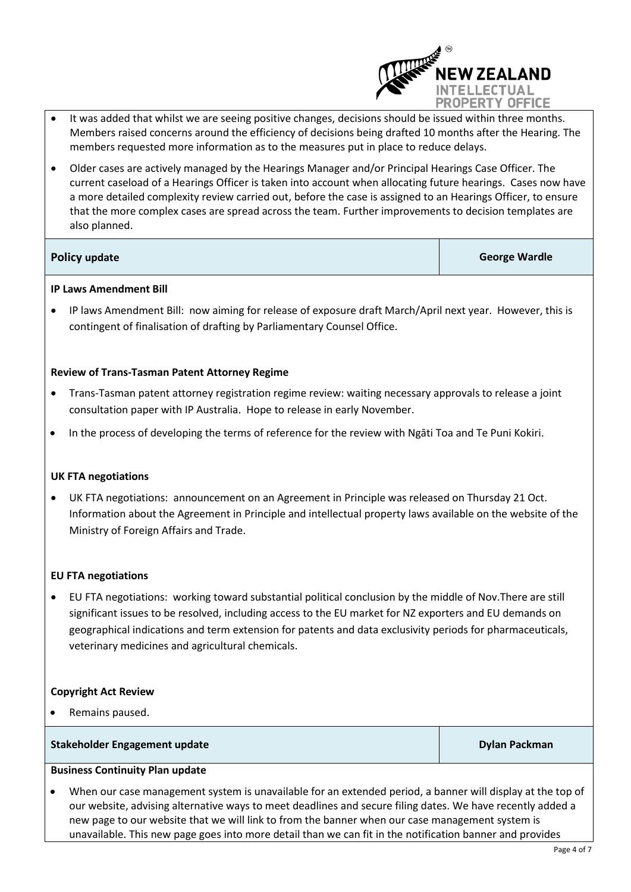

- It was added that whilst we are seeing positive changes, decisions should be issued within three months. Members raised concerns around the efficiency of decisions being drafted 10 months after the Hearing. The members requested more information as to the measures put in place to reduce delays.
- Older cases are actively managed by the Hearings Manager and/or Principal Hearings Case Officer. The current caseload of a Hearings Officer is taken into account when allocating future hearings. Cases now have a more detailed complexity review carried out, before the case is assigned to an Hearings Officer, to ensure that the more complex cases are spread across the team. Further improvements to decision templates are also planned.

**Policy update George Wardle**

### **IP Laws Amendment Bill**

• IP laws Amendment Bill: now aiming for release of exposure draft March/April next year. However, this is contingent of finalisation of drafting by Parliamentary Counsel Office.

### **Review of Trans-Tasman Patent Attorney Regime**

- Trans-Tasman patent attorney registration regime review: waiting necessary approvals to release a joint consultation paper with IP Australia. Hope to release in early November.
- In the process of developing the terms of reference for the review with Ngāti Toa and Te Puni Kokiri.

#### **UK FTA negotiations**

• UK FTA negotiations: announcement on an Agreement in Principle was released on Thursday 21 Oct. Information about the Agreement in Principle and intellectual property laws available on the website of the Ministry of Foreign Affairs and Trade.

#### **EU FTA negotiations**

• EU FTA negotiations: working toward substantial political conclusion by the middle of Nov.There are still significant issues to be resolved, including access to the EU market for NZ exporters and EU demands on geographical indications and term extension for patents and data exclusivity periods for pharmaceuticals, veterinary medicines and agricultural chemicals.

#### **Copyright Act Review**

Remains paused.

#### **Stakeholder Engagement update Dylan Packman** Dylan Packman

### **Business Continuity Plan update**

• When our case management system is unavailable for an extended period, a banner will display at the top of our website, advising alternative ways to meet deadlines and secure filing dates. We have recently added a new page to our website that we will link to from the banner when our case management system is unavailable. This new page goes into more detail than we can fit in the notification banner and provides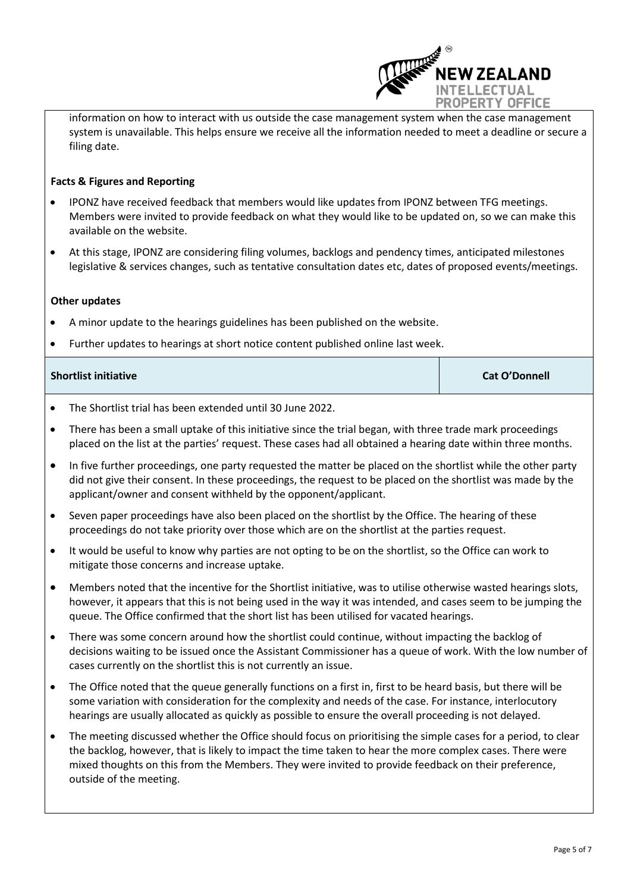

information on how to interact with us outside the case management system when the case management system is unavailable. This helps ensure we receive all the information needed to meet a deadline or secure a filing date.

#### **Facts & Figures and Reporting**

- IPONZ have received feedback that members would like updates from IPONZ between TFG meetings. Members were invited to provide feedback on what they would like to be updated on, so we can make this available on the website.
- At this stage, IPONZ are considering filing volumes, backlogs and pendency times, anticipated milestones legislative & services changes, such as tentative consultation dates etc, dates of proposed events/meetings.

#### **Other updates**

- A minor update to the hearings guidelines has been published on the website.
- Further updates to hearings at short notice content published online last week.

| <b>Shortlist initiative</b> | <b>Cat O'Donnell</b> |
|-----------------------------|----------------------|
|                             |                      |

- The Shortlist trial has been extended until 30 June 2022.
- There has been a small uptake of this initiative since the trial began, with three trade mark proceedings placed on the list at the parties' request. These cases had all obtained a hearing date within three months.
- In five further proceedings, one party requested the matter be placed on the shortlist while the other party did not give their consent. In these proceedings, the request to be placed on the shortlist was made by the applicant/owner and consent withheld by the opponent/applicant.
- Seven paper proceedings have also been placed on the shortlist by the Office. The hearing of these proceedings do not take priority over those which are on the shortlist at the parties request.
- It would be useful to know why parties are not opting to be on the shortlist, so the Office can work to mitigate those concerns and increase uptake.
- Members noted that the incentive for the Shortlist initiative, was to utilise otherwise wasted hearings slots, however, it appears that this is not being used in the way it was intended, and cases seem to be jumping the queue. The Office confirmed that the short list has been utilised for vacated hearings.
- There was some concern around how the shortlist could continue, without impacting the backlog of decisions waiting to be issued once the Assistant Commissioner has a queue of work. With the low number of cases currently on the shortlist this is not currently an issue.
- The Office noted that the queue generally functions on a first in, first to be heard basis, but there will be some variation with consideration for the complexity and needs of the case. For instance, interlocutory hearings are usually allocated as quickly as possible to ensure the overall proceeding is not delayed.
- The meeting discussed whether the Office should focus on prioritising the simple cases for a period, to clear the backlog, however, that is likely to impact the time taken to hear the more complex cases. There were mixed thoughts on this from the Members. They were invited to provide feedback on their preference, outside of the meeting.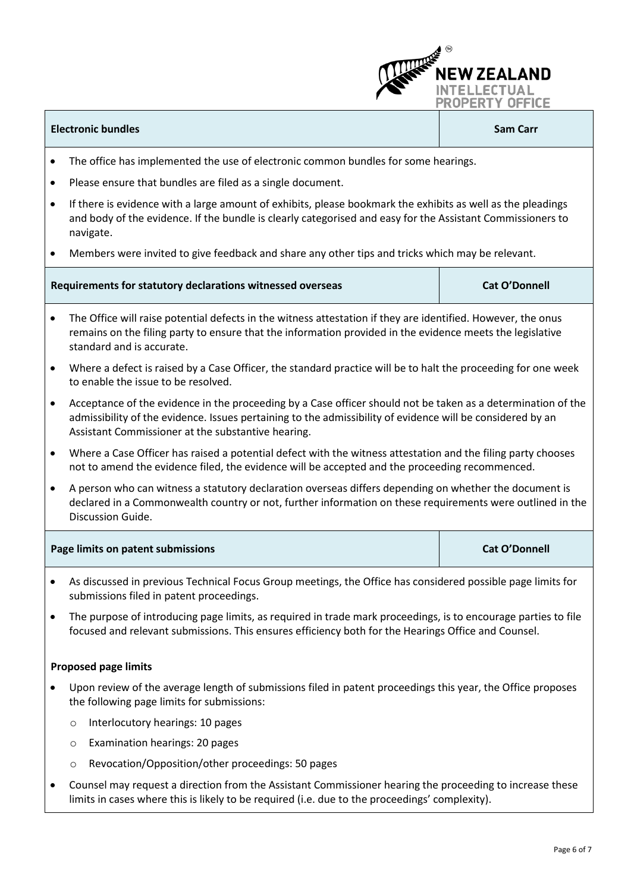#### **Electronic bundles Sam Carr**

**W ZEALAND** 

**INTELLECTUAL PROPERTY OFFICE** 

- The office has implemented the use of electronic common bundles for some hearings.
- Please ensure that bundles are filed as a single document.
- If there is evidence with a large amount of exhibits, please bookmark the exhibits as well as the pleadings and body of the evidence. If the bundle is clearly categorised and easy for the Assistant Commissioners to navigate.
- Members were invited to give feedback and share any other tips and tricks which may be relevant.

| Requirements for statutory declarations witnessed overseas | <b>Cat O'Donnell</b> |
|------------------------------------------------------------|----------------------|
|                                                            |                      |

- The Office will raise potential defects in the witness attestation if they are identified. However, the onus remains on the filing party to ensure that the information provided in the evidence meets the legislative standard and is accurate.
- Where a defect is raised by a Case Officer, the standard practice will be to halt the proceeding for one week to enable the issue to be resolved.
- Acceptance of the evidence in the proceeding by a Case officer should not be taken as a determination of the admissibility of the evidence. Issues pertaining to the admissibility of evidence will be considered by an Assistant Commissioner at the substantive hearing.
- Where a Case Officer has raised a potential defect with the witness attestation and the filing party chooses not to amend the evidence filed, the evidence will be accepted and the proceeding recommenced.
- A person who can witness a statutory declaration overseas differs depending on whether the document is declared in a Commonwealth country or not, further information on these requirements were outlined in the Discussion Guide.

| Page limits on patent submissions | <b>Cat O'Donnell</b> |
|-----------------------------------|----------------------|
|-----------------------------------|----------------------|

- As discussed in previous Technical Focus Group meetings, the Office has considered possible page limits for submissions filed in patent proceedings.
- The purpose of introducing page limits, as required in trade mark proceedings, is to encourage parties to file focused and relevant submissions. This ensures efficiency both for the Hearings Office and Counsel.

#### **Proposed page limits**

- Upon review of the average length of submissions filed in patent proceedings this year, the Office proposes the following page limits for submissions:
	- o Interlocutory hearings: 10 pages
	- o Examination hearings: 20 pages
	- Revocation/Opposition/other proceedings: 50 pages
- Counsel may request a direction from the Assistant Commissioner hearing the proceeding to increase these limits in cases where this is likely to be required (i.e. due to the proceedings' complexity).